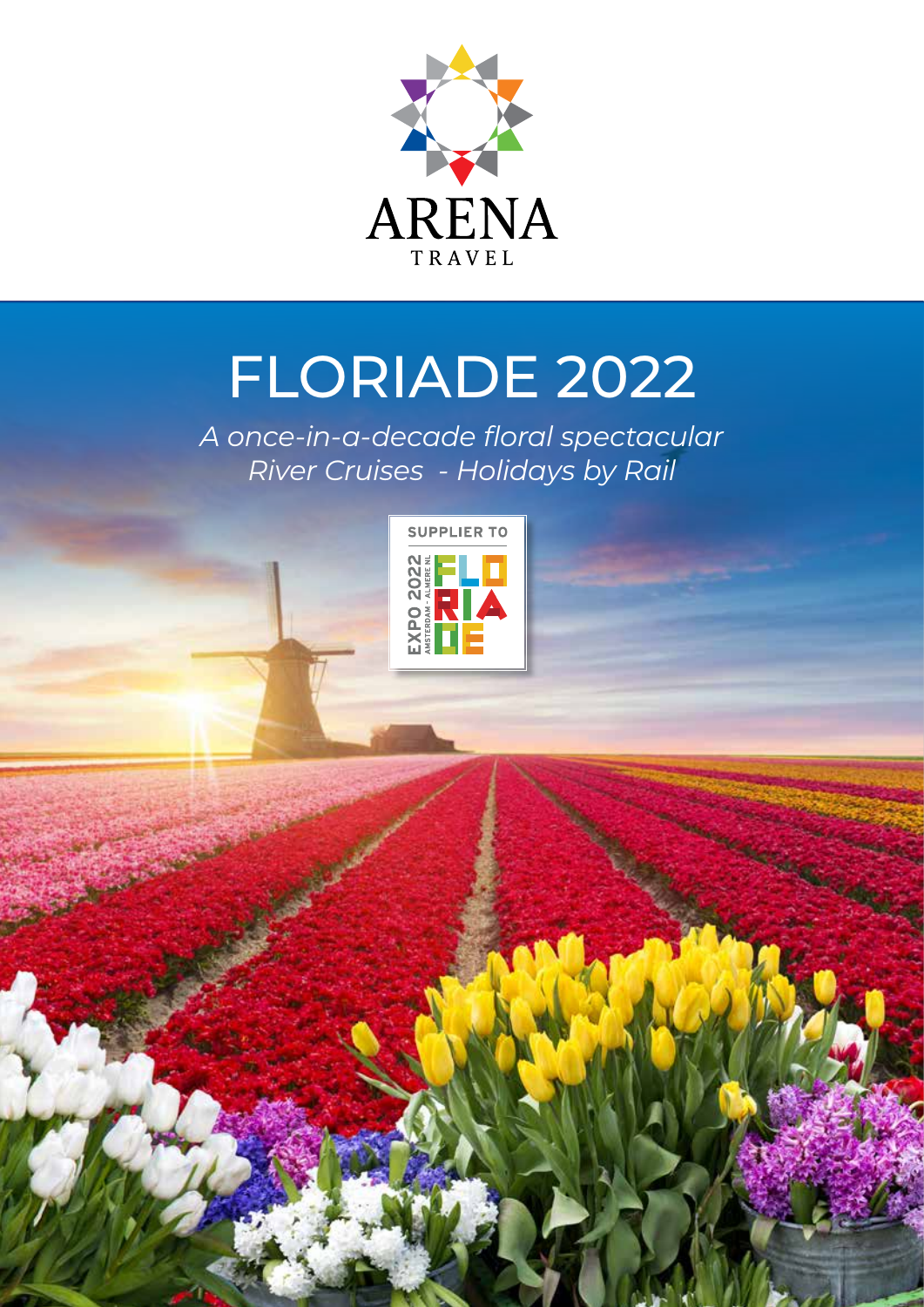

# FLORIADE 2022

*A once-in-a-decade floral spectacular River Cruises - Holidays by Rail* 

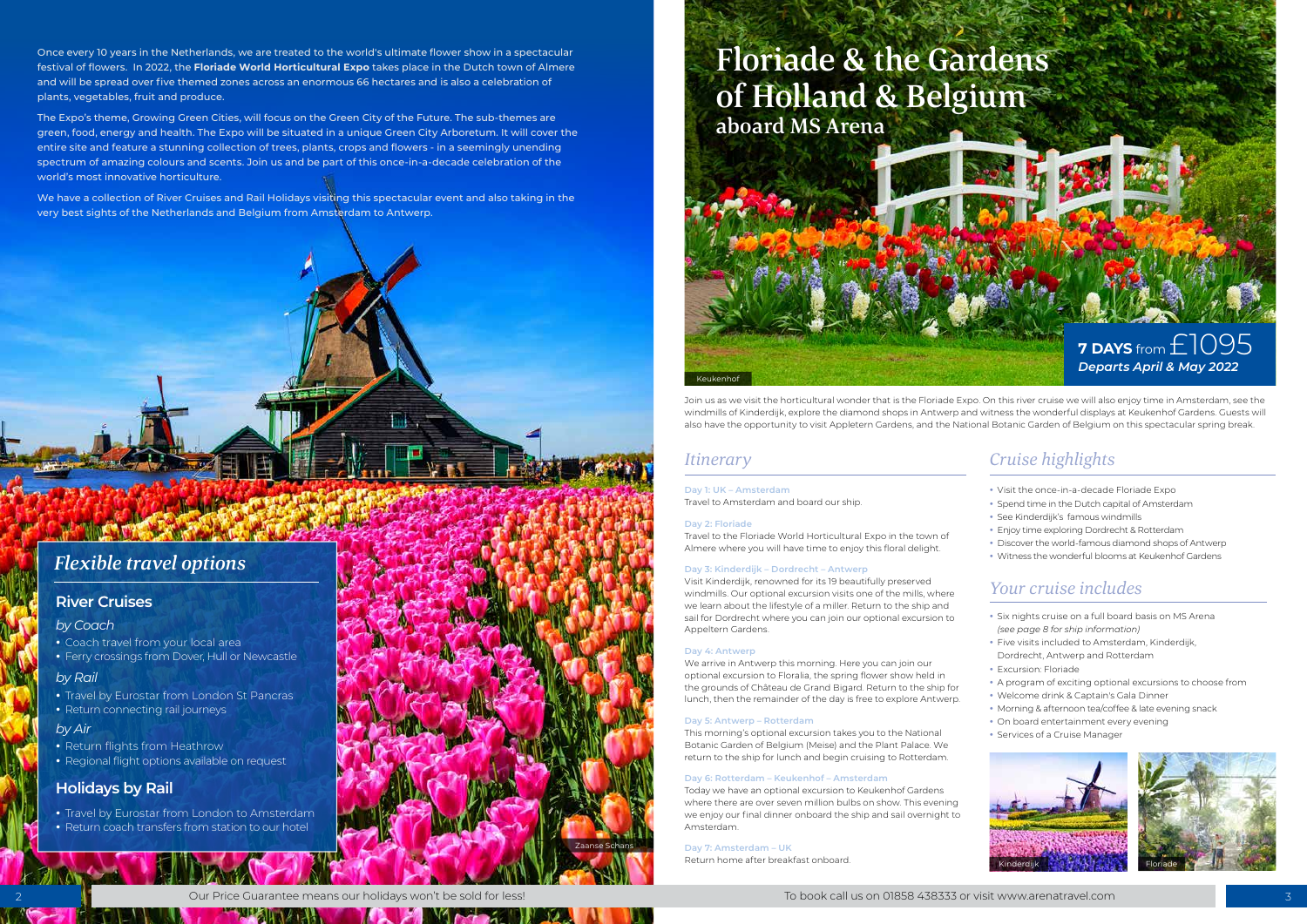いくだい

# aboard MS Arena

- Six nights cruise on a full board basis on MS Arena *(see page 8 for ship information)*
- Five visits included to Amsterdam, Kinderdijk,
- Dordrecht, Antwerp and Rotterdam
- Excursion: Floriade
- A program of exciting optional excursions to choose from
- Welcome drink & Captain's Gala Dinner
- Morning & afternoon tea/coffee & late evening snack
- On board entertainment every evening
- Services of a Cruise Manager



- Visit the once-in-a-decade Floriade Expo
- Spend time in the Dutch capital of Amsterdam
- See Kinderdijk's famous windmills
- Enjoy time exploring Dordrecht & Rotterdam
- Discover the world-famous diamond shops of Antwerp
- Witness the wonderful blooms at Keukenhof Gardens

# *Cruise highlights*

# *Your cruise includes*

## *Itinerary*

Join us as we visit the horticultural wonder that is the Floriade Expo. On this river cruise we will also enjoy time in Amsterdam, see the windmills of Kinderdijk, explore the diamond shops in Antwerp and witness the wonderful displays at Keukenhof Gardens. Guests will also have the opportunity to visit Appletern Gardens, and the National Botanic Garden of Belgium on this spectacular spring break.

#### **Day 1: UK – Amsterdam** Travel to Amsterdam and board our ship.

#### **Day 2: Floriade**

Travel to the Floriade World Horticultural Expo in the town of Almere where you will have time to enjoy this floral delight.

#### **Day 3: Kinderdijk – Dordrecht – Antwerp**

Visit Kinderdijk, renowned for its 19 beautifully preserved windmills. Our optional excursion visits one of the mills, where we learn about the lifestyle of a miller. Return to the ship and sail for Dordrecht where you can join our optional excursion to Appeltern Gardens.

#### **Day 4: Antwerp**

We arrive in Antwerp this morning. Here you can join our optional excursion to Floralia, the spring flower show held in the grounds of Château de Grand Bigard. Return to the ship for lunch, then the remainder of the day is free to explore Antwerp.

#### **Day 5: Antwerp – Rotterdam**

This morning's optional excursion takes you to the National Botanic Garden of Belgium (Meise) and the Plant Palace. We return to the ship for lunch and begin cruising to Rotterdam.

#### **Day 6: Rotterdam – Keukenhof – Amsterdam**

Today we have an optional excursion to Keukenhof Gardens where there are over seven million bulbs on show. This evening we enjoy our final dinner onboard the ship and sail overnight to Amsterdam.

#### **Day 7: Amsterdam – UK**

Return home after breakfast onboard.

Once every 10 years in the Netherlands, we are treated to the world's ultimate flower show in a spectacular festival of flowers. In 2022, the **Floriade World Horticultural Expo** takes place in the Dutch town of Almere and will be spread over five themed zones across an enormous 66 hectares and is also a celebration of plants, vegetables, fruit and produce.

The Expo's theme, Growing Green Cities, will focus on the Green City of the Future. The sub-themes are green, food, energy and health. The Expo will be situated in a unique Green City Arboretum. It will cover the entire site and feature a stunning collection of trees, plants, crops and flowers - in a seemingly unending spectrum of amazing colours and scents. Join us and be part of this once-in-a-decade celebration of the world's most innovative horticulture.

We have a collection of River Cruises and Rail Holidays visiting this spectacular event and also taking in the very best sights of the Netherlands and Belgium from Amsterdam to Antwerp.





# *Flexible travel options*

### **River Cruises**

### **Holidays by Rail**

- Travel by Eurostar from London to Amsterdam
- Return coach transfers from station to our hotel

#### *by Coach*

#### *by Rail*

- Travel by Eurostar from London St Pancras
- Return connecting rail journeys

#### *by Air*

- Return flights from Heathrow
- Regional flight options available on request
- Coach travel from your local area
- Ferry crossings from Dover, Hull or Newcastle



**Mora**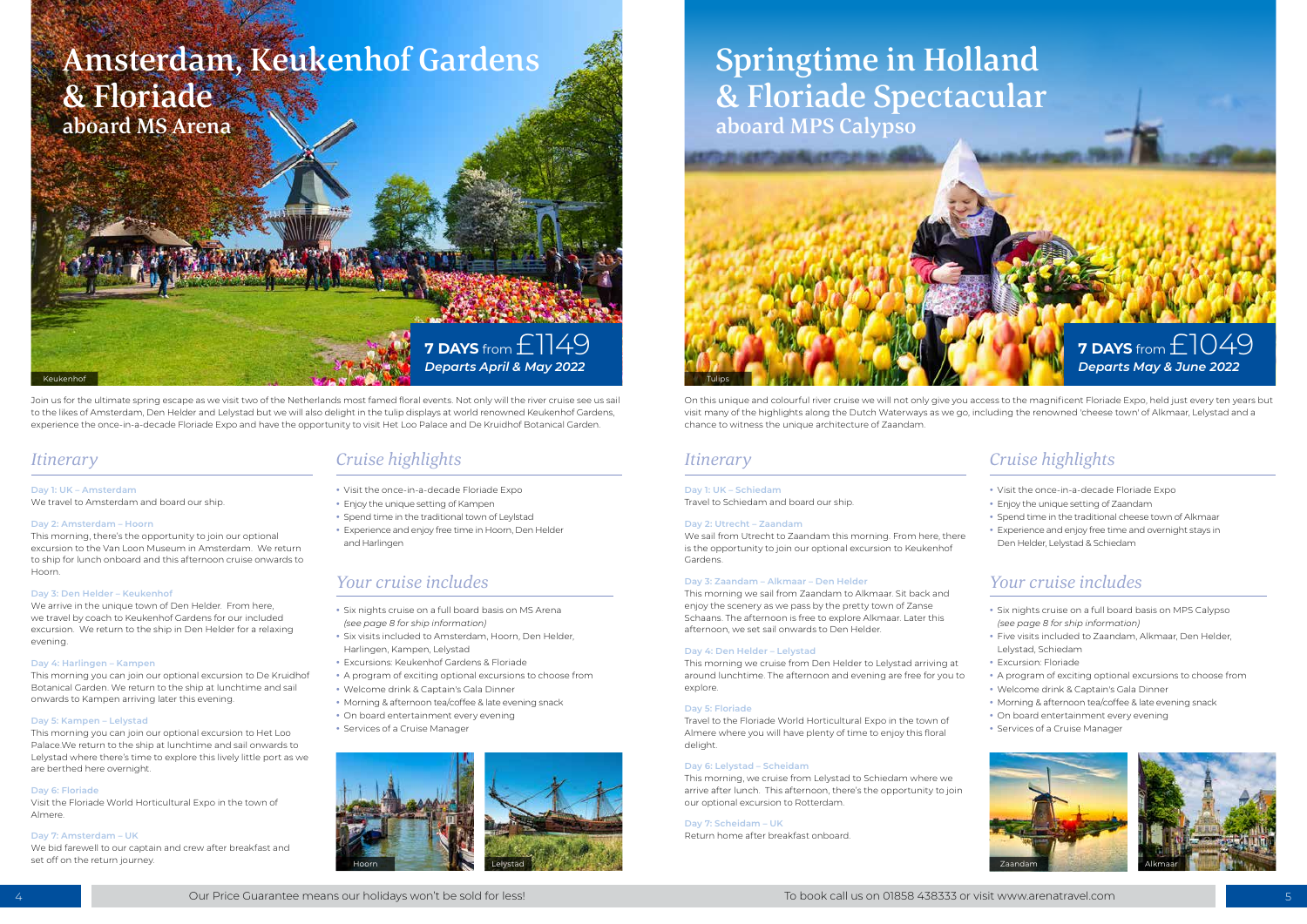# Amsterdam, Keukenhof Gardens & Floriade aboard MS Arena

- Six nights cruise on a full board basis on MPS Calypso *(see page 8 for ship information)*
- Five visits included to Zaandam, Alkmaar, Den Helder, Lelystad, Schiedam
- Excursion: Floriade
- A program of exciting optional excursions to choose from
- Welcome drink & Captain's Gala Dinner
- Morning & afternoon tea/coffee & late evening snack
- On board entertainment every evening
- Services of a Cruise Manager





## Keukenhof Tulips in the control of the control of the state of the control of the control of the control of the control of the control of the control of the control of the control of the control of the control of the contr **7 DAYS** from £1149 *Departs April & May 2022*

# Springtime in Holland & Floriade Spectacular aboard MPS Calypso **7 DAYS** from £1049 *Departs May & June 2022*



- Six nights cruise on a full board basis on MS Arena *(see page 8 for ship information)*
- Six visits included to Amsterdam, Hoorn, Den Helder, Harlingen, Kampen, Lelystad
- Excursions: Keukenhof Gardens & Floriade
- A program of exciting optional excursions to choose from
- Welcome drink & Captain's Gala Dinner
- Morning & afternoon tea/coffee & late evening snack
- On board entertainment every evening
- Services of a Cruise Manager
- Visit the once-in-a-decade Floriade Expo
- Enjoy the unique setting of Zaandam
- Spend time in the traditional cheese town of Alkmaar
- Experience and enjoy free time and overnight stays in Den Helder, Lelystad & Schiedam
- Visit the once-in-a-decade Floriade Expo
- Enjoy the unique setting of Kampen
- Spend time in the traditional town of Leylstad
- Experience and enjoy free time in Hoorn, Den Helder and Harlingen

# *Cruise highlights Cruise highlights*

# *Your cruise includes Your cruise includes*

# *Itinerary Itinerary*

On this unique and colourful river cruise we will not only give you access to the magnificent Floriade Expo, held just every ten years but visit many of the highlights along the Dutch Waterways as we go, including the renowned 'cheese town' of Alkmaar, Lelystad and a chance to witness the unique architecture of Zaandam.

Join us for the ultimate spring escape as we visit two of the Netherlands most famed floral events. Not only will the river cruise see us sail to the likes of Amsterdam, Den Helder and Lelystad but we will also delight in the tulip displays at world renowned Keukenhof Gardens, experience the once-in-a-decade Floriade Expo and have the opportunity to visit Het Loo Palace and De Kruidhof Botanical Garden.

#### **Day 1: UK – Schiedam**

Travel to Schiedam and board our ship.

#### **Day 2: Utrecht – Zaandam**

We sail from Utrecht to Zaandam this morning. From here, there is the opportunity to join our optional excursion to Keukenhof Gardens.

#### **Day 3: Zaandam – Alkmaar – Den Helder**

This morning we sail from Zaandam to Alkmaar. Sit back and enjoy the scenery as we pass by the pretty town of Zanse Schaans. The afternoon is free to explore Alkmaar. Later this afternoon, we set sail onwards to Den Helder.

#### **Day 4: Den Helder – Lelystad**

This morning we cruise from Den Helder to Lelystad arriving at around lunchtime. The afternoon and evening are free for you to explore.

#### **Day 5: Floriade**

Travel to the Floriade World Horticultural Expo in the town of Almere where you will have plenty of time to enjoy this floral delight.

#### **Day 6: Lelystad – Scheidam**

This morning, we cruise from Lelystad to Schiedam where we arrive after lunch. This afternoon, there's the opportunity to join our optional excursion to Rotterdam.

#### **Day 7: Scheidam – UK**

Return home after breakfast onboard.

#### **Day 1: UK – Amsterdam**

We travel to Amsterdam and board our ship.

#### **Day 2: Amsterdam – Hoorn**

This morning, there's the opportunity to join our optional excursion to the Van Loon Museum in Amsterdam. We return to ship for lunch onboard and this afternoon cruise onwards to Hoorn.

#### **Day 3: Den Helder – Keukenhof**

We arrive in the unique town of Den Helder. From here, we travel by coach to Keukenhof Gardens for our included excursion. We return to the ship in Den Helder for a relaxing evening.

#### **Day 4: Harlingen – Kampen**

This morning you can join our optional excursion to De Kruidhof Botanical Garden. We return to the ship at lunchtime and sail onwards to Kampen arriving later this evening.

#### **Day 5: Kampen – Lelystad**

This morning you can join our optional excursion to Het Loo Palace.We return to the ship at lunchtime and sail onwards to Lelystad where there's time to explore this lively little port as we are berthed here overnight.

#### **Day 6: Floriade**

Visit the Floriade World Horticultural Expo in the town of Almere.

#### **Day 7: Amsterdam – UK**

We bid farewell to our captain and crew after breakfast and

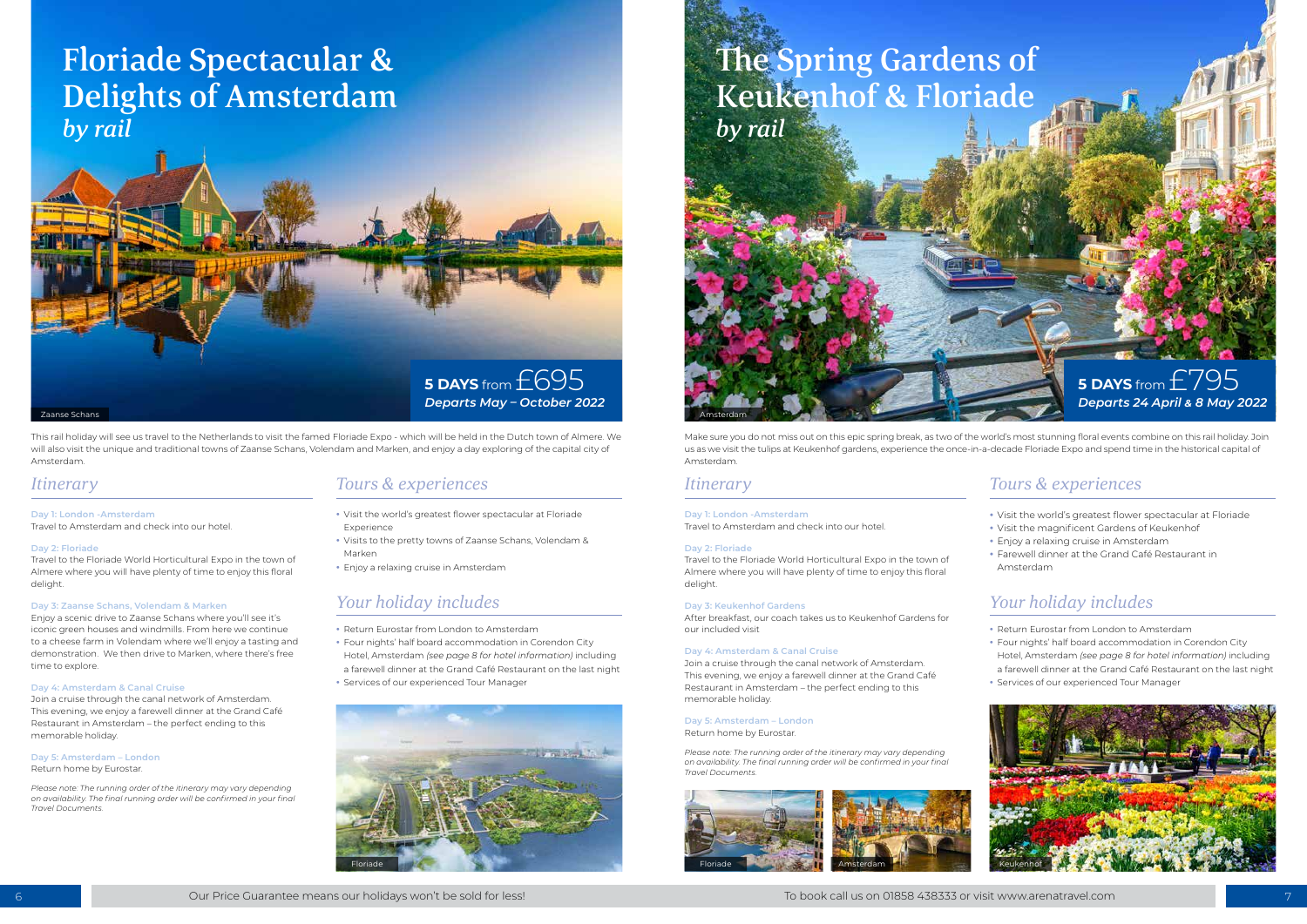

- Return Eurostar from London to Amsterdam
- Four nights' half board accommodation in Corendon City Hotel, Amsterdam *(see page 8 for hotel information)* including a farewell dinner at the Grand Café Restaurant on the last night
- Services of our experienced Tour Manager



- Return Eurostar from London to Amsterdam
- Four nights' half board accommodation in Corendon City Hotel, Amsterdam *(see page 8 for hotel information)* including a farewell dinner at the Grand Café Restaurant on the last night
- Services of our experienced Tour Manager



- Visit the world's greatest flower spectacular at Floriade **Experience**
- Visits to the pretty towns of Zaanse Schans, Volendam & Marken
- Enjoy a relaxing cruise in Amsterdam
- Visit the world's greatest flower spectacular at Floriade
- Visit the magnificent Gardens of Keukenhof
- Enjoy a relaxing cruise in Amsterdam
- Farewell dinner at the Grand Café Restaurant in Amsterdam



# *Tours & experiences Tours & experiences Itinerary Itinerary*

# *Your holiday includes Your holiday includes*

This rail holiday will see us travel to the Netherlands to visit the famed Floriade Expo - which will be held in the Dutch town of Almere. We will also visit the unique and traditional towns of Zaanse Schans, Volendam and Marken, and enjoy a day exploring of the capital city of Amsterdam.

Make sure you do not miss out on this epic spring break, as two of the world's most stunning floral events combine on this rail holiday. Join us as we visit the tulips at Keukenhof gardens, experience the once-in-a-decade Floriade Expo and spend time in the historical capital of Amsterdam.

#### **Day 1: London -Amsterdam**



Travel to Amsterdam and check into our hotel.

#### **Day 2: Floriade**

Travel to the Floriade World Horticultural Expo in the town of Almere where you will have plenty of time to enjoy this floral delight.

#### **Day 3: Zaanse Schans, Volendam & Marken**

Enjoy a scenic drive to Zaanse Schans where you'll see it's iconic green houses and windmills. From here we continue to a cheese farm in Volendam where we'll enjoy a tasting and demonstration. We then drive to Marken, where there's free time to explore.

#### **Day 4: Amsterdam & Canal Cruise**

Join a cruise through the canal network of Amsterdam. This evening, we enjoy a farewell dinner at the Grand Café Restaurant in Amsterdam – the perfect ending to this memorable holiday.

#### **Day 5: Amsterdam – London**

Return home by Eurostar.

*Please note: The running order of the itinerary may vary depending on availability. The final running order will be confirmed in your final Travel Documents.* 

#### **Day 1: London -Amsterdam**

Travel to Amsterdam and check into our hotel.

#### **Day 2: Floriade**

Travel to the Floriade World Horticultural Expo in the town of Almere where you will have plenty of time to enjoy this floral delight.

#### **Day 3: Keukenhof Gardens**

After breakfast, our coach takes us to Keukenhof Gardens for our included visit

#### **Day 4: Amsterdam & Canal Cruise**

Join a cruise through the canal network of Amsterdam. This evening, we enjoy a farewell dinner at the Grand Café Restaurant in Amsterdam – the perfect ending to this memorable holiday.

#### **Day 5: Amsterdam – London**

Return home by Eurostar.

*Please note: The running order of the itinerary may vary depending on availability. The final running order will be confirmed in your final Travel Documents.* 

# Floriade Spectacular & Delights of Amsterdam *by rail*